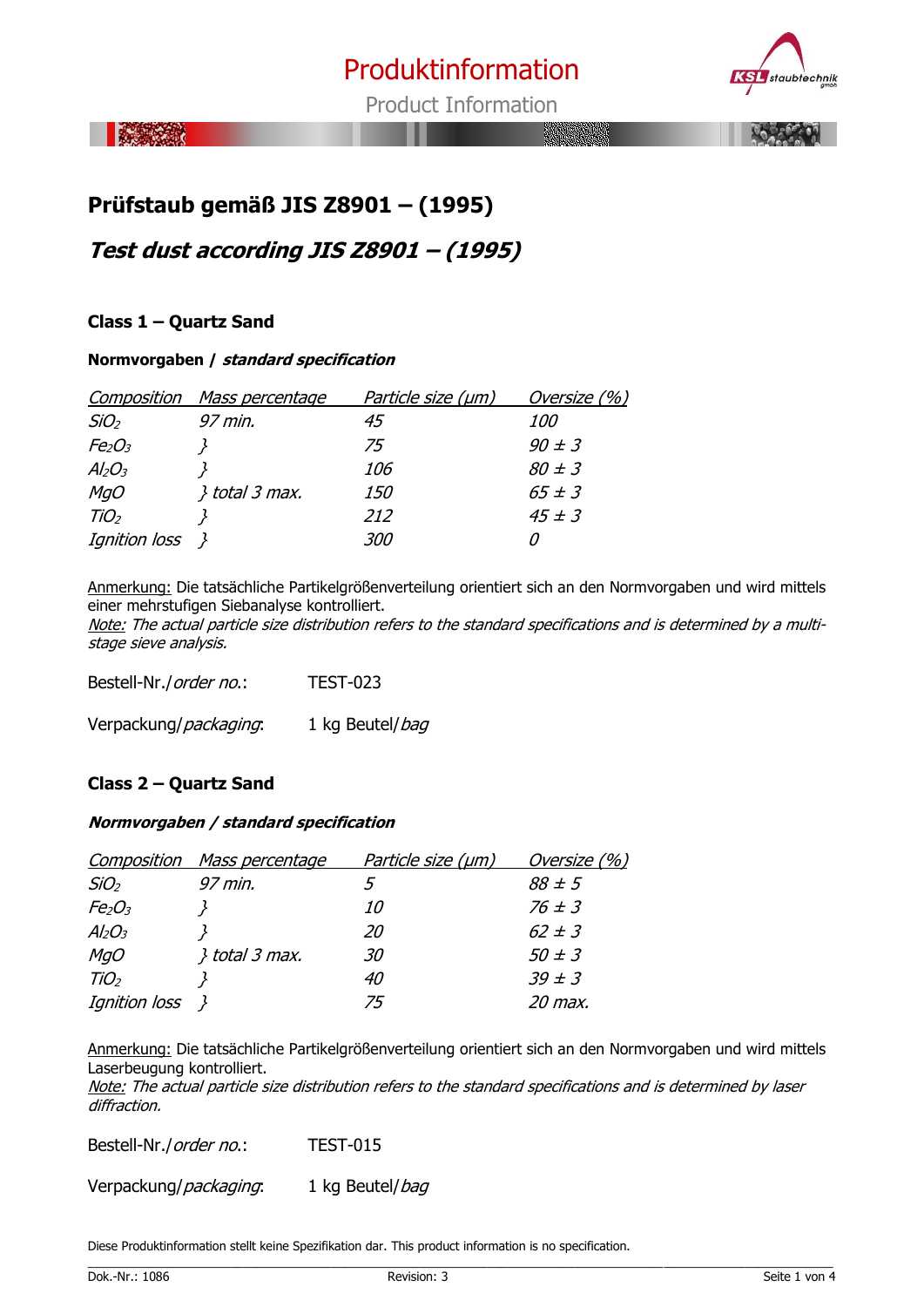

Product Information

泰文社

# **Prüfstaub gemäß JIS Z8901 – (1995)**

**Test dust according JIS Z8901 – (1995)**

# **Class 1 – Quartz Sand**

### **Normvorgaben / standard specification**

| Composition                    | <u>Mass percentage</u> | Particle size (µm) | Oversize (%) |
|--------------------------------|------------------------|--------------------|--------------|
| SiO <sub>2</sub>               | 97 min.                | 45                 | <i>100</i>   |
| Fe <sub>2</sub> O <sub>3</sub> |                        | 75                 | $90 \pm 3$   |
| $Al_2O_3$                      |                        | <i>106</i>         | $80 \pm 3$   |
| <b>MgO</b>                     | $}$ total 3 max.       | <i>150</i>         | $65 \pm 3$   |
| TiO <sub>2</sub>               |                        | 212                | $45 \pm 3$   |
| Ignition loss                  |                        | <i>300</i>         |              |

Anmerkung: Die tatsächliche Partikelgrößenverteilung orientiert sich an den Normvorgaben und wird mittels einer mehrstufigen Siebanalyse kontrolliert.

Note: The actual particle size distribution refers to the standard specifications and is determined by a multistage sieve analysis.

Bestell-Nr./*order no*.: TEST-023 Verpackung/*packaging*: 1 kg Beutel/*bag* 

# **Class 2 – Quartz Sand**

### **Normvorgaben / standard specification**

| Composition                    | Mass percentage      | Particle size (µm) | Oversize (%) |
|--------------------------------|----------------------|--------------------|--------------|
| SiO <sub>2</sub>               | 97 min.              |                    | $88 \pm 5$   |
| Fe <sub>2</sub> O <sub>3</sub> |                      | 10                 | $76 \pm 3$   |
| $Al_2O_3$                      |                      | 20                 | $62 \pm 3$   |
| <b>MgO</b>                     | <i>\total 3 max.</i> | 30                 | $50 \pm 3$   |
| TiO <sub>2</sub>               |                      | 40                 | $39 \pm 3$   |
| <i>Ignition loss</i> }         |                      | 75                 | 20 max.      |

Anmerkung: Die tatsächliche Partikelgrößenverteilung orientiert sich an den Normvorgaben und wird mittels Laserbeugung kontrolliert.

Note: The actual particle size distribution refers to the standard specifications and is determined by laser diffraction.

Bestell-Nr./order no.: TEST-015

Verpackung/*packaging*: 1 kg Beutel/*bag* 

Diese Produktinformation stellt keine Spezifikation dar. This product information is no specification.

\_\_\_\_\_\_\_\_\_\_\_\_\_\_\_\_\_\_\_\_\_\_\_\_\_\_\_\_\_\_\_\_\_\_\_\_\_\_\_\_\_\_\_\_\_\_\_\_\_\_\_\_\_\_\_\_\_\_\_\_\_\_\_\_\_\_\_\_\_\_\_\_\_\_\_\_\_\_\_\_\_\_\_\_\_\_\_\_\_\_\_\_\_\_\_\_\_\_\_\_\_\_\_\_\_\_\_\_\_\_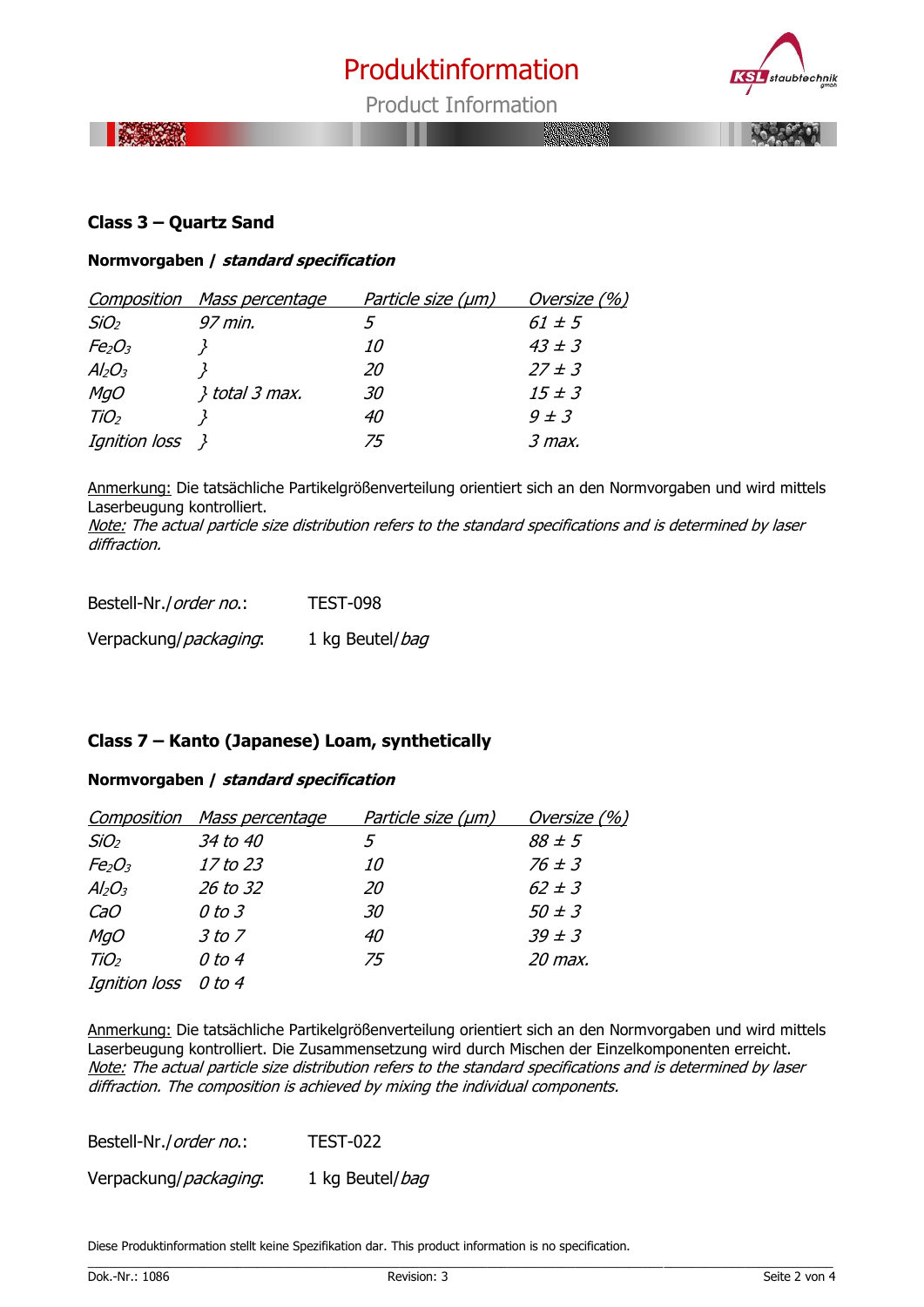

Product Information

**BOSHOOTIA** 

# **Class 3 – Quartz Sand**

### **Normvorgaben / standard specification**

|                                | Composition Mass percentage | Particle size (µm) | Oversize (%) |
|--------------------------------|-----------------------------|--------------------|--------------|
| SiO <sub>2</sub>               | 97 min.                     | ٠,                 | $61 \pm 5$   |
| Fe <sub>2</sub> O <sub>3</sub> |                             | 10                 | $43 \pm 3$   |
| $Al_2O_3$                      |                             | 20                 | $27 \pm 3$   |
| <b>MgO</b>                     | <i>{\total 3 max.</i>       | 30                 | $15 \pm 3$   |
| TiO <sub>2</sub>               |                             | 40                 | $9 \pm 3$    |
| Ignition loss $\}$             |                             | 75                 | $3$ max.     |

Anmerkung: Die tatsächliche Partikelgrößenverteilung orientiert sich an den Normvorgaben und wird mittels Laserbeugung kontrolliert.

Note: The actual particle size distribution refers to the standard specifications and is determined by laser diffraction.

| Bestell-Nr./order no.: | <b>TEST-098</b> |
|------------------------|-----------------|
| Verpackung/packaging.  | 1 kg Beutel/bag |

# **Class 7 – Kanto (Japanese) Loam, synthetically**

#### **Normvorgaben / standard specification**

| Composition                    | M <u>ass percentage</u> | Particle size (µm) | Oversize (%) |
|--------------------------------|-------------------------|--------------------|--------------|
| SiO <sub>2</sub>               | 34 to 40                | 5                  | $88 \pm 5$   |
| Fe <sub>2</sub> O <sub>3</sub> | 17 to 23                | <i>10</i>          | $76 \pm 3$   |
| $Al_2O_3$                      | 26 to 32                | 20                 | $62 \pm 3$   |
| CaO                            | $0$ to $3$              | 30                 | $50 \pm 3$   |
| <b>MgO</b>                     | 3 to 7                  | 40                 | $39 \pm 3$   |
| TiO <sub>2</sub>               | 0 to 4                  | 75                 | 20 max.      |
| Ignition loss                  | 0 to 4                  |                    |              |

Anmerkung: Die tatsächliche Partikelgrößenverteilung orientiert sich an den Normvorgaben und wird mittels Laserbeugung kontrolliert. Die Zusammensetzung wird durch Mischen der Einzelkomponenten erreicht. Note: The actual particle size distribution refers to the standard specifications and is determined by laser diffraction. The composition is achieved by mixing the individual components.

\_\_\_\_\_\_\_\_\_\_\_\_\_\_\_\_\_\_\_\_\_\_\_\_\_\_\_\_\_\_\_\_\_\_\_\_\_\_\_\_\_\_\_\_\_\_\_\_\_\_\_\_\_\_\_\_\_\_\_\_\_\_\_\_\_\_\_\_\_\_\_\_\_\_\_\_\_\_\_\_\_\_\_\_\_\_\_\_\_\_\_\_\_\_\_\_\_\_\_\_\_\_\_\_\_\_\_\_\_\_

Bestell-Nr./order no.: TEST-022

Verpackung/*packaging*: 1 kg Beutel/*bag* 

Diese Produktinformation stellt keine Spezifikation dar. This product information is no specification.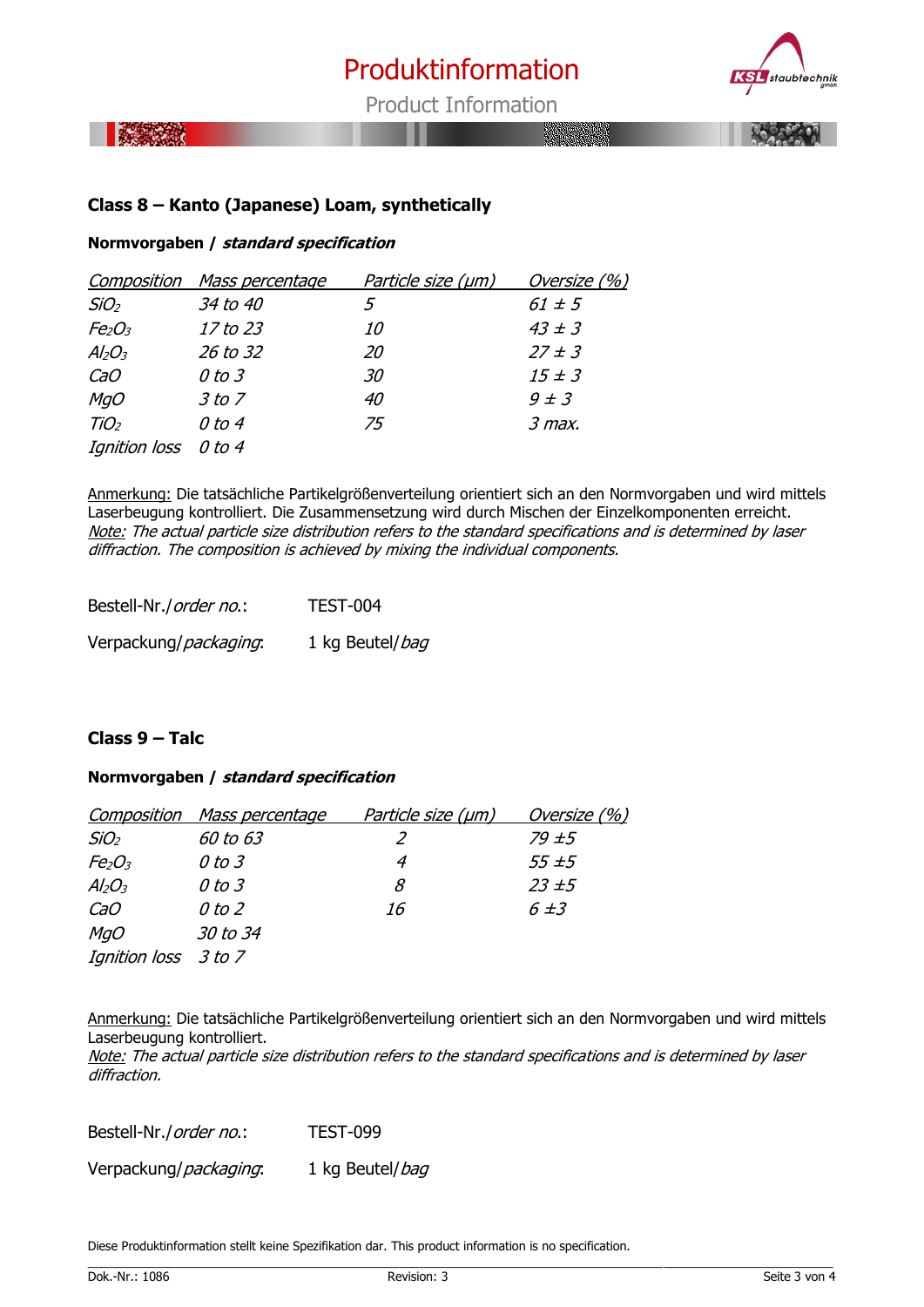

Product Information



# **Class 8 – Kanto (Japanese) Loam, synthetically**

#### **Normvorgaben / standard specification**

|                                | <b>Composition</b> Mass percentage | Particle size (µm) | Oversize (%) |
|--------------------------------|------------------------------------|--------------------|--------------|
| SiO <sub>2</sub>               | 34 to 40                           | 5                  | $61 \pm 5$   |
| Fe <sub>2</sub> O <sub>3</sub> | 17 to 23                           | <i>10</i>          | $43 \pm 3$   |
| $Al_2O_3$                      | 26 to 32                           | 20                 | $27 \pm 3$   |
| CaO                            | $0$ to $3$                         | 30                 | $15 \pm 3$   |
| <b>MgO</b>                     | 3 to 7                             | 40                 | $9 \pm 3$    |
| TiO <sub>2</sub>               | 0 to 4                             | 75                 | $3$ max.     |
| Ignition loss 0 to 4           |                                    |                    |              |

Anmerkung: Die tatsächliche Partikelgrößenverteilung orientiert sich an den Normvorgaben und wird mittels Laserbeugung kontrolliert. Die Zusammensetzung wird durch Mischen der Einzelkomponenten erreicht. Note: The actual particle size distribution refers to the standard specifications and is determined by laser diffraction. The composition is achieved by mixing the individual components.

| Bestell-Nr./order no.: | TEST-004        |
|------------------------|-----------------|
| Verpackung/packaging.  | 1 kg Beutel/bag |

# **Class 9 – Talc**

### **Normvorgaben / standard specification**

|                                | <b>Composition</b> Mass percentage | <u>Particle size (µm)</u> | Oversize (%) |
|--------------------------------|------------------------------------|---------------------------|--------------|
| SiO <sub>2</sub>               | 60 to 63                           | 2                         | 79 ± 5       |
| Fe <sub>2</sub> O <sub>3</sub> | 0 to 3                             | 4                         | $55 \pm 5$   |
| $Al_2O_3$                      | 0 to 3                             | 8                         | $23 \pm 5$   |
| CaO                            | $0$ to $2$                         | 16                        | $6 \pm 3$    |
| MgO                            | <i>30 to 34</i>                    |                           |              |
| Ignition loss 3 to 7           |                                    |                           |              |

Anmerkung: Die tatsächliche Partikelgrößenverteilung orientiert sich an den Normvorgaben und wird mittels Laserbeugung kontrolliert.

Note: The actual particle size distribution refers to the standard specifications and is determined by laser diffraction.

Bestell-Nr./order no.: TEST-099 Verpackung/*packaging*: 1 kg Beutel/*bag* 

Diese Produktinformation stellt keine Spezifikation dar. This product information is no specification.

\_\_\_\_\_\_\_\_\_\_\_\_\_\_\_\_\_\_\_\_\_\_\_\_\_\_\_\_\_\_\_\_\_\_\_\_\_\_\_\_\_\_\_\_\_\_\_\_\_\_\_\_\_\_\_\_\_\_\_\_\_\_\_\_\_\_\_\_\_\_\_\_\_\_\_\_\_\_\_\_\_\_\_\_\_\_\_\_\_\_\_\_\_\_\_\_\_\_\_\_\_\_\_\_\_\_\_\_\_\_